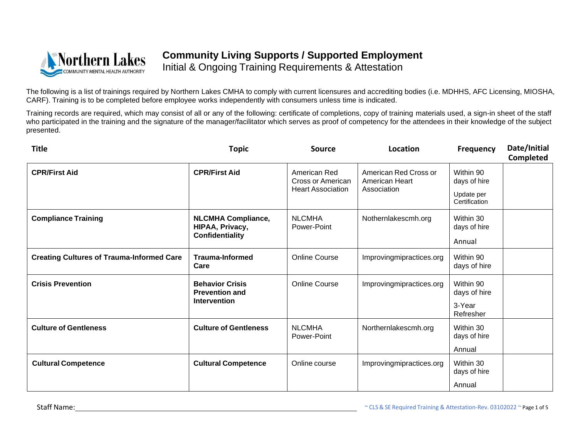

Initial & Ongoing Training Requirements & Attestation

The following is a list of trainings required by Northern Lakes CMHA to comply with current licensures and accrediting bodies (i.e. MDHHS, AFC Licensing, MIOSHA, CARF). Training is to be completed before employee works independently with consumers unless time is indicated.

| <b>Title</b>                                     | <b>Topic</b>                                                           | Source                                                        | Location                                               | <b>Frequency</b>            | Date/Initial<br><b>Completed</b> |
|--------------------------------------------------|------------------------------------------------------------------------|---------------------------------------------------------------|--------------------------------------------------------|-----------------------------|----------------------------------|
| <b>CPR/First Aid</b>                             | <b>CPR/First Aid</b>                                                   | American Red<br>Cross or American<br><b>Heart Association</b> | American Red Cross or<br>American Heart<br>Association | Within 90<br>days of hire   |                                  |
|                                                  |                                                                        |                                                               |                                                        | Update per<br>Certification |                                  |
| <b>Compliance Training</b>                       | <b>NLCMHA Compliance,</b><br>HIPAA, Privacy,<br><b>Confidentiality</b> | <b>NLCMHA</b><br>Power-Point                                  | Nothernlakescmh.org                                    | Within 30<br>days of hire   |                                  |
|                                                  |                                                                        |                                                               |                                                        | Annual                      |                                  |
| <b>Creating Cultures of Trauma-Informed Care</b> | <b>Trauma-Informed</b><br>Care                                         | <b>Online Course</b>                                          | Improvingmipractices.org                               | Within 90<br>days of hire   |                                  |
| <b>Crisis Prevention</b>                         | <b>Behavior Crisis</b><br><b>Prevention and</b><br><b>Intervention</b> | <b>Online Course</b>                                          | Improvingmipractices.org                               | Within 90<br>days of hire   |                                  |
|                                                  |                                                                        |                                                               |                                                        | 3-Year<br>Refresher         |                                  |
| <b>Culture of Gentleness</b>                     | <b>Culture of Gentleness</b>                                           | <b>NLCMHA</b><br>Power-Point                                  | Northernlakescmh.org                                   | Within 30<br>days of hire   |                                  |
|                                                  |                                                                        |                                                               |                                                        | Annual                      |                                  |
| <b>Cultural Competence</b>                       | <b>Cultural Competence</b>                                             | Online course                                                 | Improvingmipractices.org                               | Within 30<br>days of hire   |                                  |
|                                                  |                                                                        |                                                               |                                                        | Annual                      |                                  |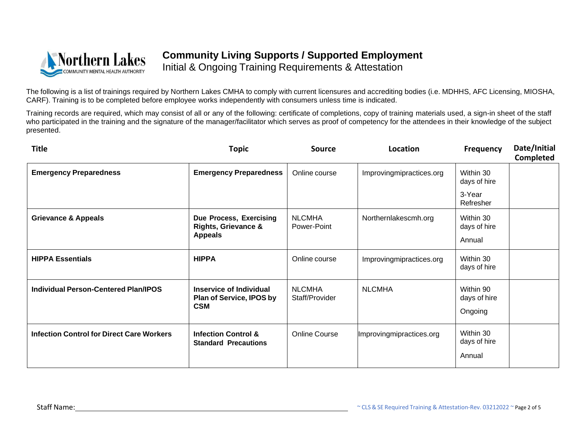

Initial & Ongoing Training Requirements & Attestation

The following is a list of trainings required by Northern Lakes CMHA to comply with current licensures and accrediting bodies (i.e. MDHHS, AFC Licensing, MIOSHA, CARF). Training is to be completed before employee works independently with consumers unless time is indicated.

| <b>Title</b>                                     | <b>Topic</b>                                                                | <b>Source</b>                   | Location                 | <b>Frequency</b>                     | Date/Initial<br>Completed |
|--------------------------------------------------|-----------------------------------------------------------------------------|---------------------------------|--------------------------|--------------------------------------|---------------------------|
| <b>Emergency Preparedness</b>                    | <b>Emergency Preparedness</b>                                               | Online course                   | Improvingmipractices.org | Within 30<br>days of hire            |                           |
|                                                  |                                                                             |                                 |                          | 3-Year<br>Refresher                  |                           |
| <b>Grievance &amp; Appeals</b>                   | Due Process, Exercising<br><b>Rights, Grievance &amp;</b><br><b>Appeals</b> | <b>NLCMHA</b><br>Power-Point    | Northernlakescmh.org     | Within 30<br>days of hire<br>Annual  |                           |
| <b>HIPPA Essentials</b>                          | <b>HIPPA</b>                                                                | Online course                   | Improvingmipractices.org | Within 30<br>days of hire            |                           |
| <b>Individual Person-Centered Plan/IPOS</b>      | <b>Inservice of Individual</b><br>Plan of Service, IPOS by<br><b>CSM</b>    | <b>NLCMHA</b><br>Staff/Provider | <b>NLCMHA</b>            | Within 90<br>days of hire<br>Ongoing |                           |
| <b>Infection Control for Direct Care Workers</b> | <b>Infection Control &amp;</b><br><b>Standard Precautions</b>               | <b>Online Course</b>            | Improvingmipractices.org | Within 30<br>days of hire<br>Annual  |                           |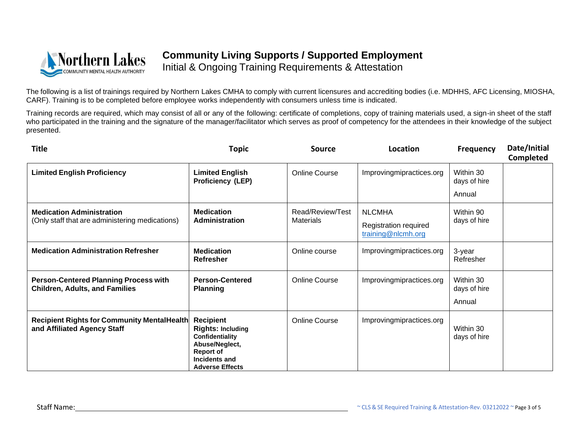

Initial & Ongoing Training Requirements & Attestation

The following is a list of trainings required by Northern Lakes CMHA to comply with current licensures and accrediting bodies (i.e. MDHHS, AFC Licensing, MIOSHA, CARF). Training is to be completed before employee works independently with consumers unless time is indicated.

| <b>Title</b>                                                                          | <b>Topic</b>                                                                                                                                     | <b>Source</b>                        | Location                                                     | <b>Frequency</b>                    | Date/Initial<br><b>Completed</b> |
|---------------------------------------------------------------------------------------|--------------------------------------------------------------------------------------------------------------------------------------------------|--------------------------------------|--------------------------------------------------------------|-------------------------------------|----------------------------------|
| <b>Limited English Proficiency</b>                                                    | <b>Limited English</b><br><b>Proficiency (LEP)</b>                                                                                               | <b>Online Course</b>                 | Improvingmipractices.org                                     | Within 30<br>days of hire           |                                  |
|                                                                                       |                                                                                                                                                  |                                      |                                                              | Annual                              |                                  |
| <b>Medication Administration</b><br>(Only staff that are administering medications)   | <b>Medication</b><br>Administration                                                                                                              | Read/Review/Test<br><b>Materials</b> | <b>NLCMHA</b><br>Registration required<br>training@nlcmh.org | Within 90<br>days of hire           |                                  |
| <b>Medication Administration Refresher</b>                                            | <b>Medication</b><br>Refresher                                                                                                                   | Online course                        | Improvingmipractices.org                                     | 3-year<br>Refresher                 |                                  |
| <b>Person-Centered Planning Process with</b><br><b>Children, Adults, and Families</b> | <b>Person-Centered</b><br><b>Planning</b>                                                                                                        | <b>Online Course</b>                 | Improvingmipractices.org                                     | Within 30<br>days of hire<br>Annual |                                  |
| <b>Recipient Rights for Community MentalHealth</b><br>and Affiliated Agency Staff     | <b>Recipient</b><br><b>Rights: Including</b><br>Confidentiality<br>Abuse/Neglect,<br><b>Report of</b><br>Incidents and<br><b>Adverse Effects</b> | <b>Online Course</b>                 | Improvingmipractices.org                                     | Within 30<br>days of hire           |                                  |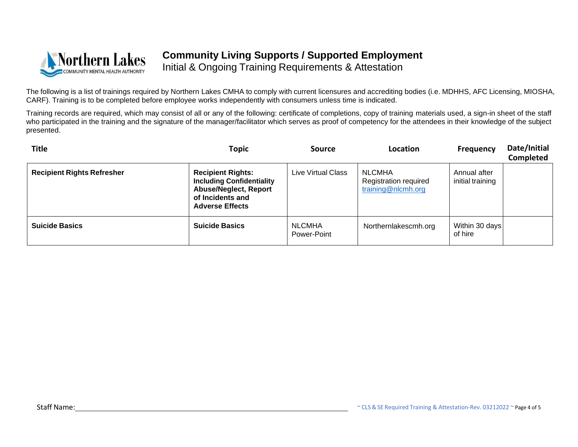

Initial & Ongoing Training Requirements & Attestation

The following is a list of trainings required by Northern Lakes CMHA to comply with current licensures and accrediting bodies (i.e. MDHHS, AFC Licensing, MIOSHA, CARF). Training is to be completed before employee works independently with consumers unless time is indicated.

| <b>Title</b>                      | Topic                                                                                                                                      | <b>Source</b>                | Location                                                            | <b>Frequency</b>                 | Date/Initial<br>Completed |
|-----------------------------------|--------------------------------------------------------------------------------------------------------------------------------------------|------------------------------|---------------------------------------------------------------------|----------------------------------|---------------------------|
| <b>Recipient Rights Refresher</b> | <b>Recipient Rights:</b><br><b>Including Confidentiality</b><br><b>Abuse/Neglect, Report</b><br>of Incidents and<br><b>Adverse Effects</b> | Live Virtual Class           | <b>NLCMHA</b><br><b>Registration required</b><br>training@nlcmh.org | Annual after<br>initial training |                           |
| <b>Suicide Basics</b>             | <b>Suicide Basics</b>                                                                                                                      | <b>NLCMHA</b><br>Power-Point | Northernlakescmh.org                                                | Within 30 days<br>of hire        |                           |